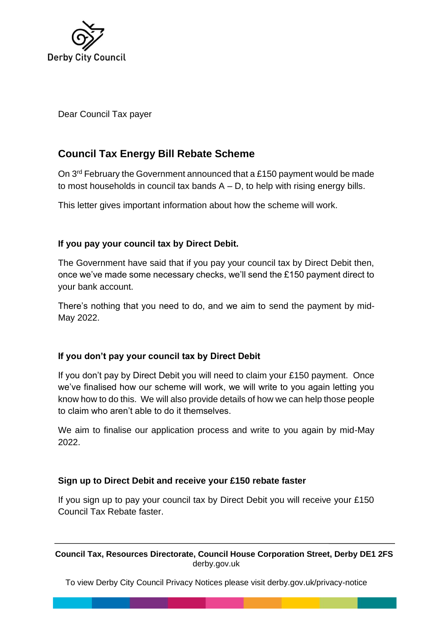

Dear Council Tax payer

# **Council Tax Energy Bill Rebate Scheme**

On 3rd February the Government announced that a £150 payment would be made to most households in council tax bands  $A - D$ , to help with rising energy bills.

This letter gives important information about how the scheme will work.

## **If you pay your council tax by Direct Debit.**

The Government have said that if you pay your council tax by Direct Debit then, once we've made some necessary checks, we'll send the £150 payment direct to your bank account.

There's nothing that you need to do, and we aim to send the payment by mid-May 2022.

## **If you don't pay your council tax by Direct Debit**

If you don't pay by Direct Debit you will need to claim your £150 payment. Once we've finalised how our scheme will work, we will write to you again letting you know how to do this. We will also provide details of how we can help those people to claim who aren't able to do it themselves.

We aim to finalise our application process and write to you again by mid-May 2022.

#### **Sign up to Direct Debit and receive your £150 rebate faster**

If you sign up to pay your council tax by Direct Debit you will receive your £150 Council Tax Rebate faster.

**Council Tax, Resources Directorate, Council House Corporation Street, Derby DE1 2FS** derby.gov.uk

To view Derby City Council Privacy Notices please visit derby.gov.uk/privacy-notice